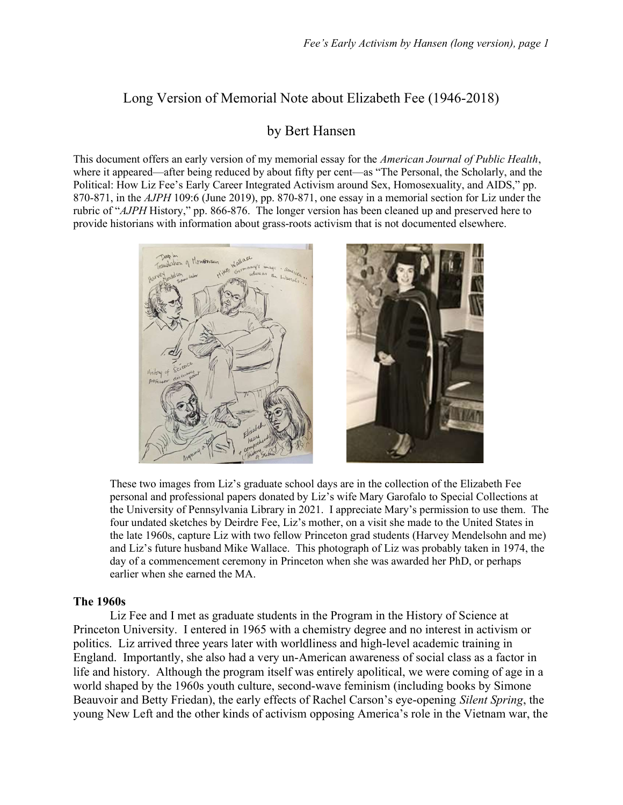# Long Version of Memorial Note about Elizabeth Fee (1946-2018)

## by Bert Hansen

This document offers an early version of my memorial essay for the American Journal of Public Health, where it appeared—after being reduced by about fifty per cent—as "The Personal, the Scholarly, and the Political: How Liz Fee's Early Career Integrated Activism around Sex, Homosexuality, and AIDS," pp. 870-871, in the AJPH 109:6 (June 2019), pp. 870-871, one essay in a memorial section for Liz under the rubric of "AJPH History," pp. 866-876. The longer version has been cleaned up and preserved here to provide historians with information about grass-roots activism that is not documented elsewhere.





These two images from Liz's graduate school days are in the collection of the Elizabeth Fee personal and professional papers donated by Liz's wife Mary Garofalo to Special Collections at the University of Pennsylvania Library in 2021. I appreciate Mary's permission to use them. The four undated sketches by Deirdre Fee, Liz's mother, on a visit she made to the United States in the late 1960s, capture Liz with two fellow Princeton grad students (Harvey Mendelsohn and me) and Liz's future husband Mike Wallace. This photograph of Liz was probably taken in 1974, the day of a commencement ceremony in Princeton when she was awarded her PhD, or perhaps earlier when she earned the MA.

#### The 1960s

 Liz Fee and I met as graduate students in the Program in the History of Science at Princeton University. I entered in 1965 with a chemistry degree and no interest in activism or politics. Liz arrived three years later with worldliness and high-level academic training in England. Importantly, she also had a very un-American awareness of social class as a factor in life and history. Although the program itself was entirely apolitical, we were coming of age in a world shaped by the 1960s youth culture, second-wave feminism (including books by Simone Beauvoir and Betty Friedan), the early effects of Rachel Carson's eye-opening Silent Spring, the young New Left and the other kinds of activism opposing America's role in the Vietnam war, the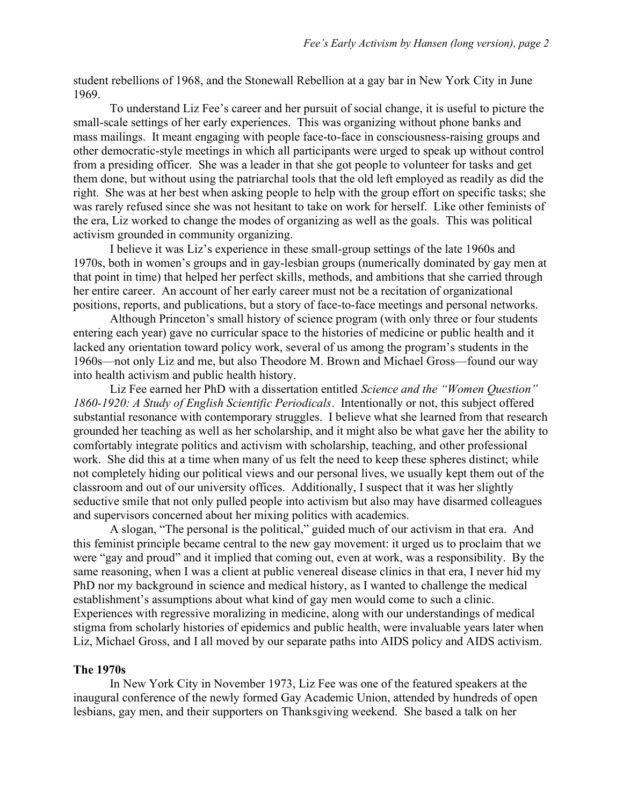student rebellions of 1968, and the Stonewall Rebellion at a gay bar in New York City in June 1969.

 To understand Liz Fee's career and her pursuit of social change, it is useful to picture the small-scale settings of her early experiences. This was organizing without phone banks and mass mailings. It meant engaging with people face-to-face in consciousness-raising groups and other democratic-style meetings in which all participants were urged to speak up without control from a presiding officer. She was a leader in that she got people to volunteer for tasks and get them done, but without using the patriarchal tools that the old left employed as readily as did the right. She was at her best when asking people to help with the group effort on specific tasks; she was rarely refused since she was not hesitant to take on work for herself. Like other feminists of the era, Liz worked to change the modes of organizing as well as the goals. This was political activism grounded in community organizing.

 I believe it was Liz's experience in these small-group settings of the late 1960s and 1970s, both in women's groups and in gay-lesbian groups (numerically dominated by gay men at that point in time) that helped her perfect skills, methods, and ambitions that she carried through her entire career. An account of her early career must not be a recitation of organizational positions, reports, and publications, but a story of face-to-face meetings and personal networks.

 Although Princeton's small history of science program (with only three or four students entering each year) gave no curricular space to the histories of medicine or public health and it lacked any orientation toward policy work, several of us among the program's students in the 1960s—not only Liz and me, but also Theodore M. Brown and Michael Gross—found our way into health activism and public health history.

Liz Fee earned her PhD with a dissertation entitled Science and the "Women Question" 1860-1920: A Study of English Scientific Periodicals. Intentionally or not, this subject offered substantial resonance with contemporary struggles. I believe what she learned from that research grounded her teaching as well as her scholarship, and it might also be what gave her the ability to comfortably integrate politics and activism with scholarship, teaching, and other professional work. She did this at a time when many of us felt the need to keep these spheres distinct; while not completely hiding our political views and our personal lives, we usually kept them out of the classroom and out of our university offices. Additionally, I suspect that it was her slightly seductive smile that not only pulled people into activism but also may have disarmed colleagues and supervisors concerned about her mixing politics with academics.

 A slogan, "The personal is the political," guided much of our activism in that era. And this feminist principle became central to the new gay movement: it urged us to proclaim that we were "gay and proud" and it implied that coming out, even at work, was a responsibility. By the same reasoning, when I was a client at public venereal disease clinics in that era, I never hid my PhD nor my background in science and medical history, as I wanted to challenge the medical establishment's assumptions about what kind of gay men would come to such a clinic. Experiences with regressive moralizing in medicine, along with our understandings of medical stigma from scholarly histories of epidemics and public health, were invaluable years later when Liz, Michael Gross, and I all moved by our separate paths into AIDS policy and AIDS activism.

### The 1970s

 In New York City in November 1973, Liz Fee was one of the featured speakers at the inaugural conference of the newly formed Gay Academic Union, attended by hundreds of open lesbians, gay men, and their supporters on Thanksgiving weekend. She based a talk on her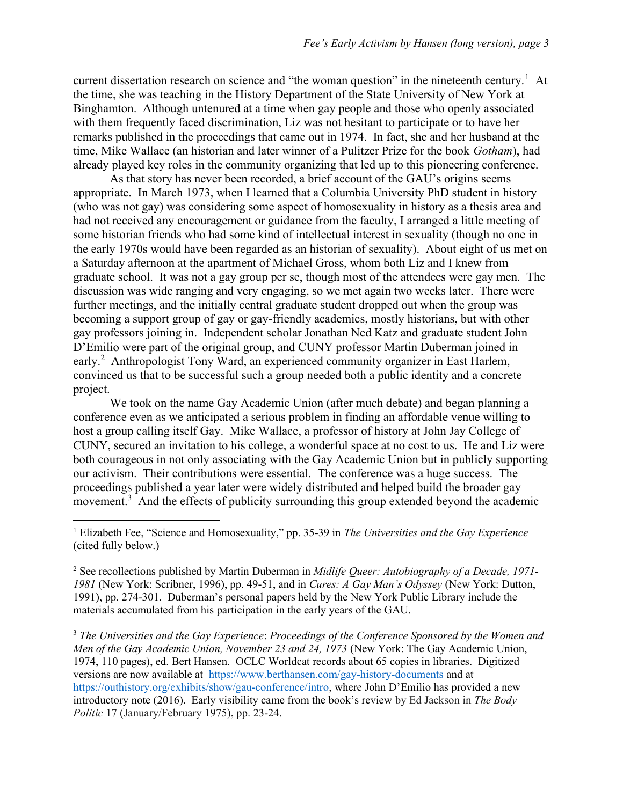current dissertation research on science and "the woman question" in the nineteenth century.<sup>1</sup> At the time, she was teaching in the History Department of the State University of New York at Binghamton. Although untenured at a time when gay people and those who openly associated with them frequently faced discrimination, Liz was not hesitant to participate or to have her remarks published in the proceedings that came out in 1974. In fact, she and her husband at the time, Mike Wallace (an historian and later winner of a Pulitzer Prize for the book Gotham), had already played key roles in the community organizing that led up to this pioneering conference.

 As that story has never been recorded, a brief account of the GAU's origins seems appropriate. In March 1973, when I learned that a Columbia University PhD student in history (who was not gay) was considering some aspect of homosexuality in history as a thesis area and had not received any encouragement or guidance from the faculty, I arranged a little meeting of some historian friends who had some kind of intellectual interest in sexuality (though no one in the early 1970s would have been regarded as an historian of sexuality). About eight of us met on a Saturday afternoon at the apartment of Michael Gross, whom both Liz and I knew from graduate school. It was not a gay group per se, though most of the attendees were gay men. The discussion was wide ranging and very engaging, so we met again two weeks later. There were further meetings, and the initially central graduate student dropped out when the group was becoming a support group of gay or gay-friendly academics, mostly historians, but with other gay professors joining in. Independent scholar Jonathan Ned Katz and graduate student John D'Emilio were part of the original group, and CUNY professor Martin Duberman joined in early.<sup>2</sup> Anthropologist Tony Ward, an experienced community organizer in East Harlem, convinced us that to be successful such a group needed both a public identity and a concrete project.

 We took on the name Gay Academic Union (after much debate) and began planning a conference even as we anticipated a serious problem in finding an affordable venue willing to host a group calling itself Gay. Mike Wallace, a professor of history at John Jay College of CUNY, secured an invitation to his college, a wonderful space at no cost to us. He and Liz were both courageous in not only associating with the Gay Academic Union but in publicly supporting our activism. Their contributions were essential. The conference was a huge success. The proceedings published a year later were widely distributed and helped build the broader gay movement.<sup>3</sup> And the effects of publicity surrounding this group extended beyond the academic

<sup>1</sup> Elizabeth Fee, "Science and Homosexuality," pp. 35-39 in The Universities and the Gay Experience (cited fully below.)

<sup>2</sup> See recollections published by Martin Duberman in *Midlife Queer: Autobiography of a Decade, 1971*-1981 (New York: Scribner, 1996), pp. 49-51, and in Cures: A Gay Man's Odyssey (New York: Dutton, 1991), pp. 274-301. Duberman's personal papers held by the New York Public Library include the materials accumulated from his participation in the early years of the GAU.

<sup>3</sup> The Universities and the Gay Experience: Proceedings of the Conference Sponsored by the Women and Men of the Gay Academic Union, November 23 and 24, 1973 (New York: The Gay Academic Union, 1974, 110 pages), ed. Bert Hansen. OCLC Worldcat records about 65 copies in libraries. Digitized versions are now available at https://www.berthansen.com/gay-history-documents and at https://outhistory.org/exhibits/show/gau-conference/intro, where John D'Emilio has provided a new introductory note (2016). Early visibility came from the book's review by Ed Jackson in The Body Politic 17 (January/February 1975), pp. 23-24.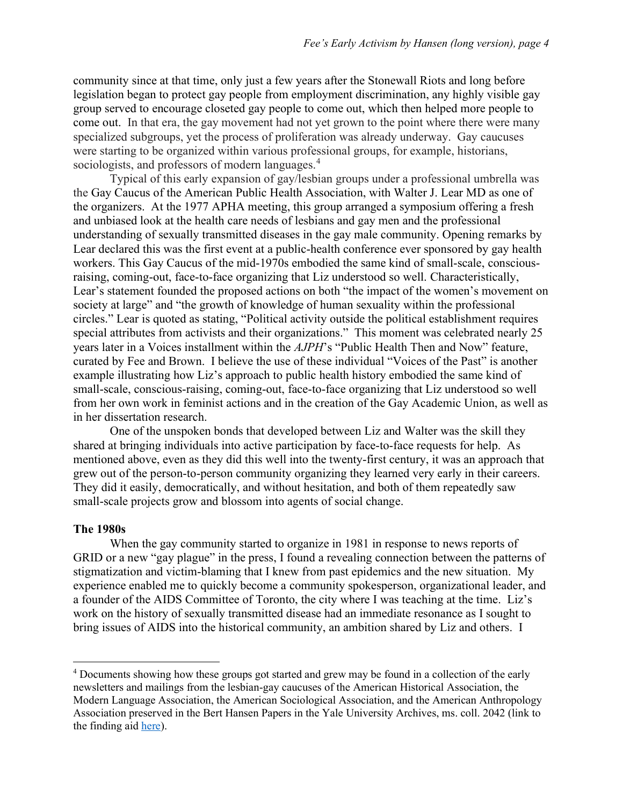community since at that time, only just a few years after the Stonewall Riots and long before legislation began to protect gay people from employment discrimination, any highly visible gay group served to encourage closeted gay people to come out, which then helped more people to come out. In that era, the gay movement had not yet grown to the point where there were many specialized subgroups, yet the process of proliferation was already underway. Gay caucuses were starting to be organized within various professional groups, for example, historians, sociologists, and professors of modern languages.<sup>4</sup>

 Typical of this early expansion of gay/lesbian groups under a professional umbrella was the Gay Caucus of the American Public Health Association, with Walter J. Lear MD as one of the organizers. At the 1977 APHA meeting, this group arranged a symposium offering a fresh and unbiased look at the health care needs of lesbians and gay men and the professional understanding of sexually transmitted diseases in the gay male community. Opening remarks by Lear declared this was the first event at a public-health conference ever sponsored by gay health workers. This Gay Caucus of the mid-1970s embodied the same kind of small-scale, consciousraising, coming-out, face-to-face organizing that Liz understood so well. Characteristically, Lear's statement founded the proposed actions on both "the impact of the women's movement on society at large" and "the growth of knowledge of human sexuality within the professional circles." Lear is quoted as stating, "Political activity outside the political establishment requires special attributes from activists and their organizations." This moment was celebrated nearly 25 years later in a Voices installment within the AJPH's "Public Health Then and Now" feature, curated by Fee and Brown. I believe the use of these individual "Voices of the Past" is another example illustrating how Liz's approach to public health history embodied the same kind of small-scale, conscious-raising, coming-out, face-to-face organizing that Liz understood so well from her own work in feminist actions and in the creation of the Gay Academic Union, as well as in her dissertation research.

 One of the unspoken bonds that developed between Liz and Walter was the skill they shared at bringing individuals into active participation by face-to-face requests for help. As mentioned above, even as they did this well into the twenty-first century, it was an approach that grew out of the person-to-person community organizing they learned very early in their careers. They did it easily, democratically, and without hesitation, and both of them repeatedly saw small-scale projects grow and blossom into agents of social change.

#### The 1980s

 When the gay community started to organize in 1981 in response to news reports of GRID or a new "gay plague" in the press, I found a revealing connection between the patterns of stigmatization and victim-blaming that I knew from past epidemics and the new situation. My experience enabled me to quickly become a community spokesperson, organizational leader, and a founder of the AIDS Committee of Toronto, the city where I was teaching at the time. Liz's work on the history of sexually transmitted disease had an immediate resonance as I sought to bring issues of AIDS into the historical community, an ambition shared by Liz and others. I

<sup>&</sup>lt;sup>4</sup> Documents showing how these groups got started and grew may be found in a collection of the early newsletters and mailings from the lesbian-gay caucuses of the American Historical Association, the Modern Language Association, the American Sociological Association, and the American Anthropology Association preserved in the Bert Hansen Papers in the Yale University Archives, ms. coll. 2042 (link to the finding aid here).